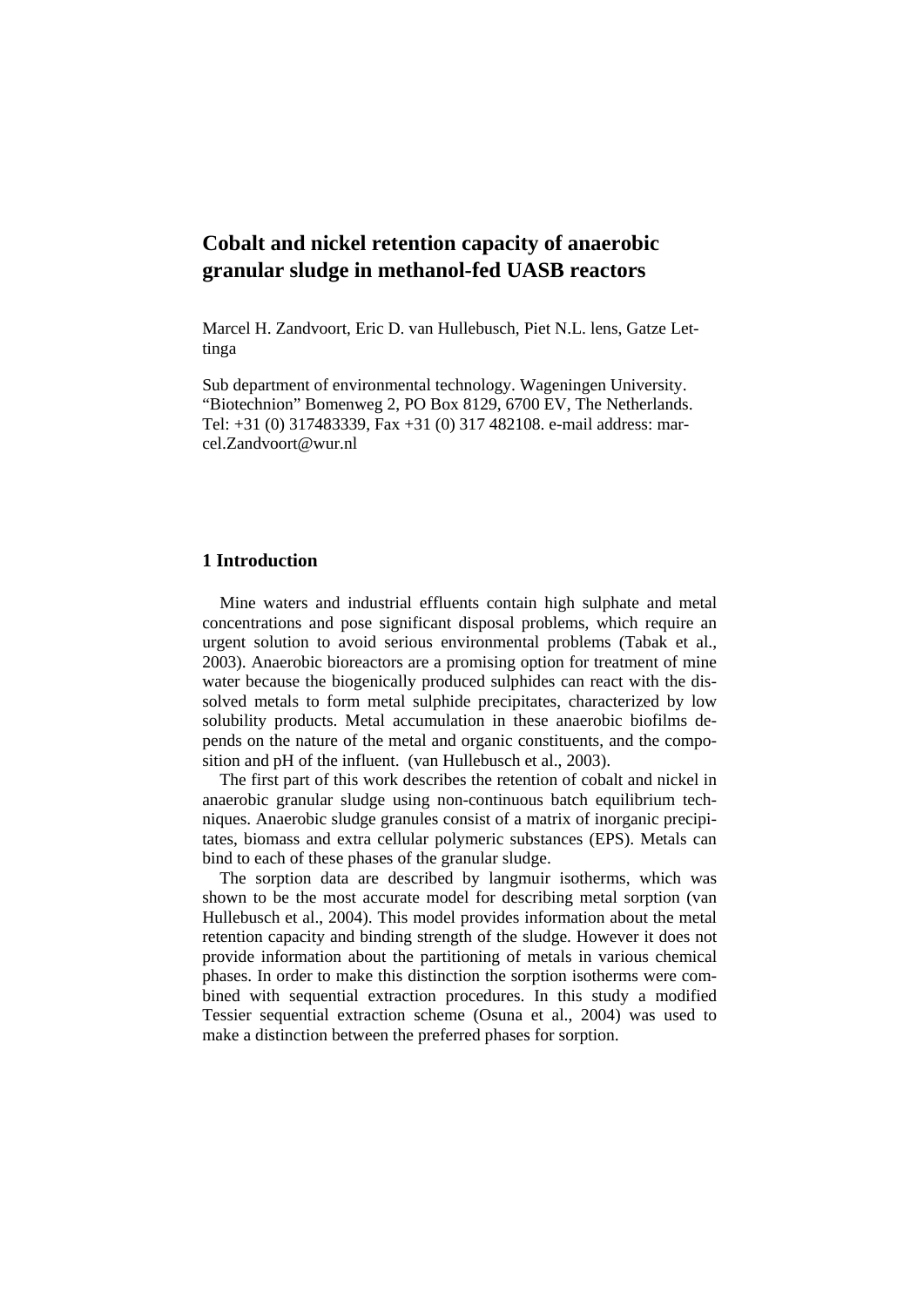# **Cobalt and nickel retention capacity of anaerobic granular sludge in methanol-fed UASB reactors**

Marcel H. Zandvoort, Eric D. van Hullebusch, Piet N.L. lens, Gatze Lettinga

Sub department of environmental technology. Wageningen University. "Biotechnion" Bomenweg 2, PO Box 8129, 6700 EV, The Netherlands. Tel: +31 (0) 317483339, Fax +31 (0) 317 482108. e-mail address: marcel.Zandvoort@wur.nl

## **1 Introduction**

Mine waters and industrial effluents contain high sulphate and metal concentrations and pose significant disposal problems, which require an urgent solution to avoid serious environmental problems (Tabak et al., 2003). Anaerobic bioreactors are a promising option for treatment of mine water because the biogenically produced sulphides can react with the dissolved metals to form metal sulphide precipitates, characterized by low solubility products. Metal accumulation in these anaerobic biofilms depends on the nature of the metal and organic constituents, and the composition and pH of the influent. (van Hullebusch et al., 2003).

The first part of this work describes the retention of cobalt and nickel in anaerobic granular sludge using non-continuous batch equilibrium techniques. Anaerobic sludge granules consist of a matrix of inorganic precipitates, biomass and extra cellular polymeric substances (EPS). Metals can bind to each of these phases of the granular sludge.

The sorption data are described by langmuir isotherms, which was shown to be the most accurate model for describing metal sorption (van Hullebusch et al., 2004). This model provides information about the metal retention capacity and binding strength of the sludge. However it does not provide information about the partitioning of metals in various chemical phases. In order to make this distinction the sorption isotherms were combined with sequential extraction procedures. In this study a modified Tessier sequential extraction scheme (Osuna et al., 2004) was used to make a distinction between the preferred phases for sorption.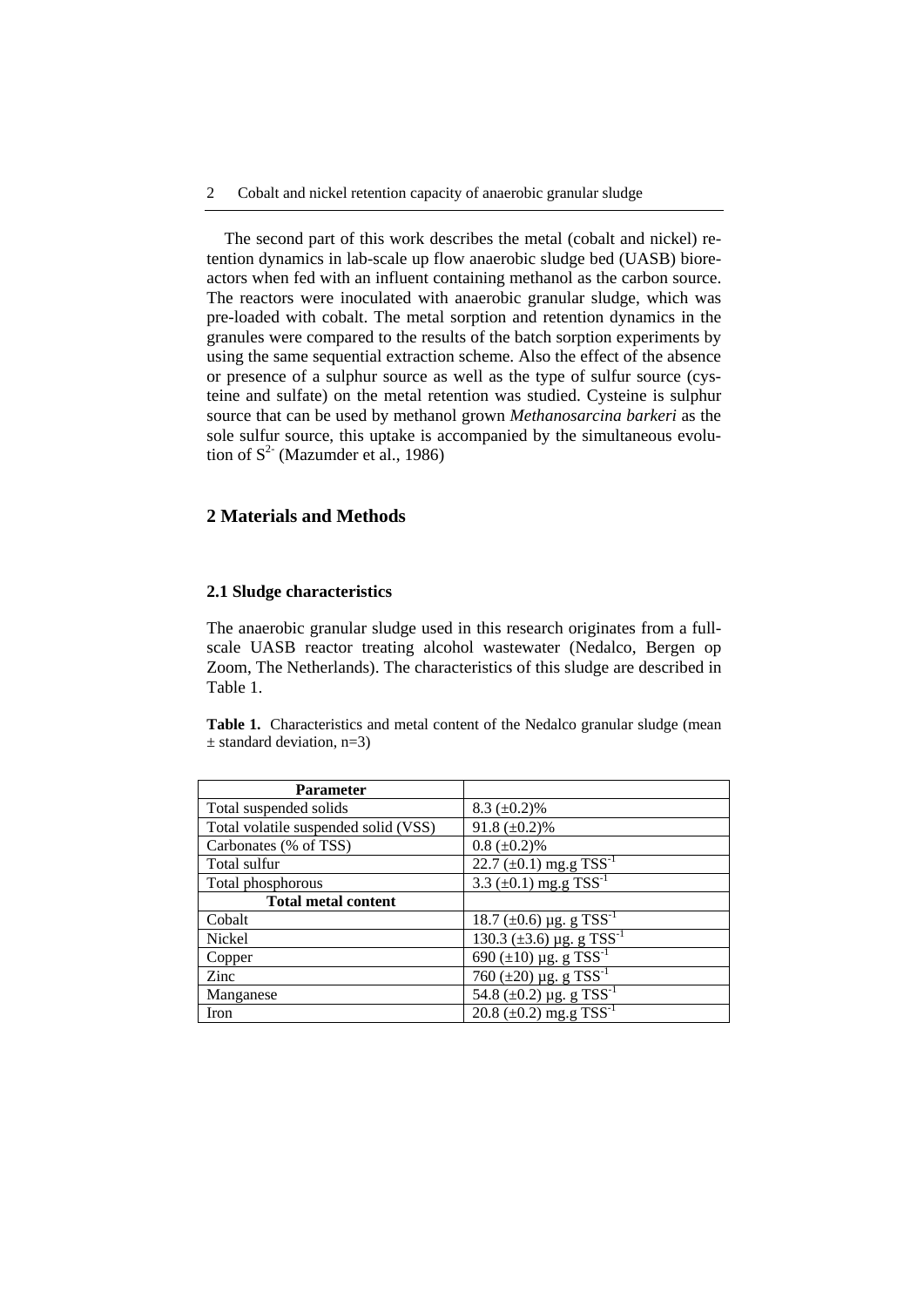The second part of this work describes the metal (cobalt and nickel) retention dynamics in lab-scale up flow anaerobic sludge bed (UASB) bioreactors when fed with an influent containing methanol as the carbon source. The reactors were inoculated with anaerobic granular sludge, which was pre-loaded with cobalt. The metal sorption and retention dynamics in the granules were compared to the results of the batch sorption experiments by using the same sequential extraction scheme. Also the effect of the absence or presence of a sulphur source as well as the type of sulfur source (cysteine and sulfate) on the metal retention was studied. Cysteine is sulphur source that can be used by methanol grown *Methanosarcina barkeri* as the sole sulfur source, this uptake is accompanied by the simultaneous evolution of  $S^2$  (Mazumder et al., 1986)

# **2 Materials and Methods**

## **2.1 Sludge characteristics**

The anaerobic granular sludge used in this research originates from a fullscale UASB reactor treating alcohol wastewater (Nedalco, Bergen op Zoom, The Netherlands). The characteristics of this sludge are described in Table 1.

Table 1. Characteristics and metal content of the Nedalco granular sludge (mean  $\pm$  standard deviation, n=3)

| <b>Parameter</b>                     |                                                          |  |  |  |
|--------------------------------------|----------------------------------------------------------|--|--|--|
| Total suspended solids               | $8.3 \ (\pm 0.2)\%$                                      |  |  |  |
| Total volatile suspended solid (VSS) | 91.8 $(\pm 0.2)\%$                                       |  |  |  |
| Carbonates (% of TSS)                | $0.8 (\pm 0.2)\%$                                        |  |  |  |
| Total sulfur                         | $22.7 \pm 0.1$ ) mg.g TSS <sup>-1</sup>                  |  |  |  |
| Total phosphorous                    | $3.3 \overline{(\pm 0.1) \text{ mg.g TSS}^{-1}}$         |  |  |  |
| <b>Total metal content</b>           |                                                          |  |  |  |
| Cobalt                               | $18.7 \ (\pm 0.6) \ \mu g. \ g \ TSS^{-1}$               |  |  |  |
| Nickel                               | $130.3 \ (\pm 3.6) \ \mu g. \ g \ TSS^{-1}$              |  |  |  |
| Copper                               | $\frac{690}{(\pm 10)}$ µg. g TSS <sup>-1</sup>           |  |  |  |
| Zinc                                 | $760 (\pm 20) \,\mu g. g TSS^{-1}$                       |  |  |  |
| Manganese                            | $\overline{54.8 (\pm 0.2) \,\mu g. g}$ TSS <sup>-1</sup> |  |  |  |
| Iron                                 | 20.8 $(\pm 0.2)$ mg.g TSS <sup>-1</sup>                  |  |  |  |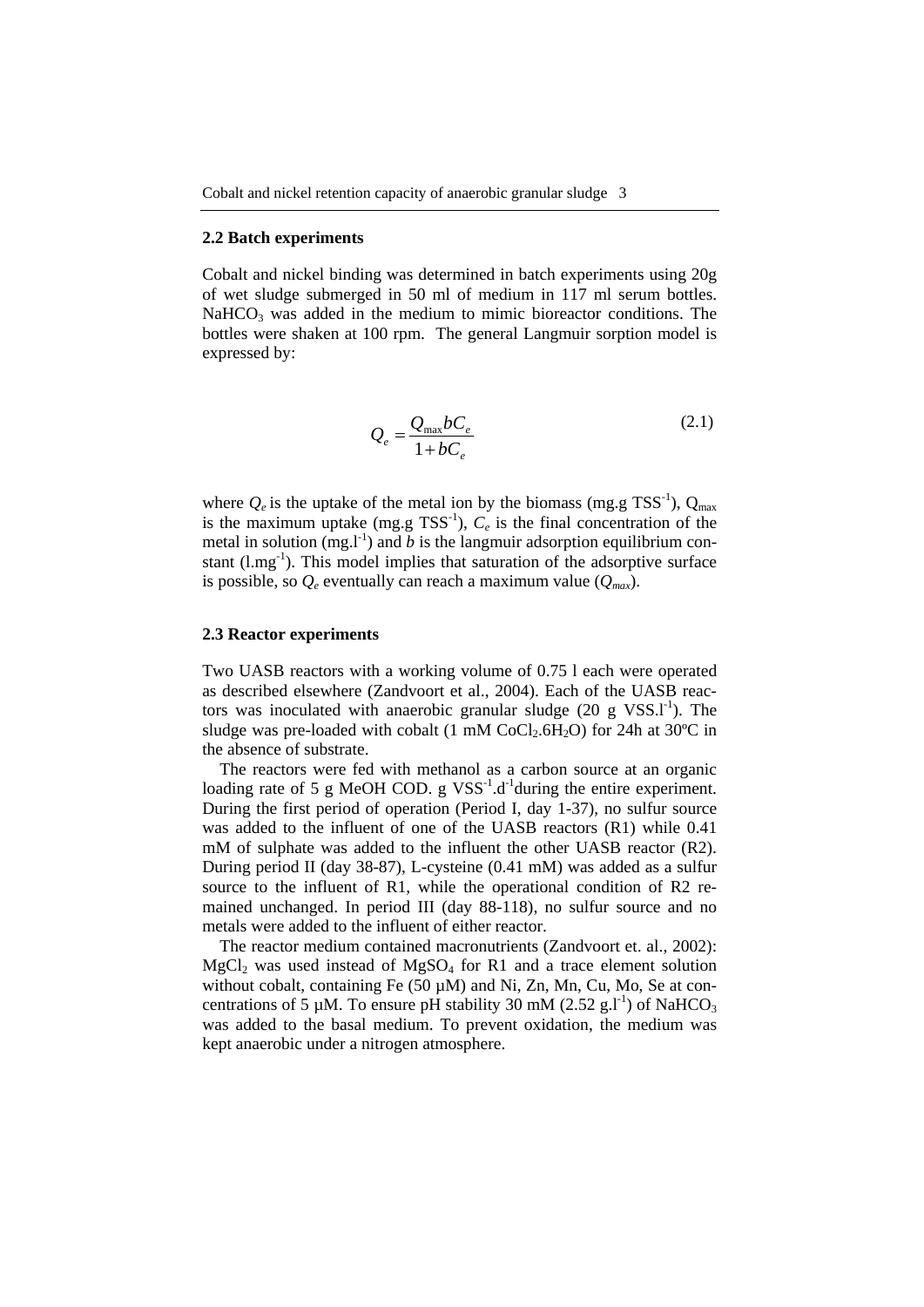#### **2.2 Batch experiments**

Cobalt and nickel binding was determined in batch experiments using 20g of wet sludge submerged in 50 ml of medium in 117 ml serum bottles.  $NaHCO<sub>3</sub>$  was added in the medium to mimic bioreactor conditions. The bottles were shaken at 100 rpm. The general Langmuir sorption model is expressed by:

$$
Q_e = \frac{Q_{\text{max}}bC_e}{1 + bC_e} \tag{2.1}
$$

where  $Q_e$  is the uptake of the metal ion by the biomass (mg.g TSS<sup>-1</sup>),  $Q_{\text{max}}$ is the maximum uptake  $(mg.g TSS<sup>-1</sup>)$ ,  $C_e$  is the final concentration of the metal in solution  $(mg, l<sup>-1</sup>)$  and *b* is the langmuir adsorption equilibrium constant  $(l.mg<sup>-1</sup>)$ . This model implies that saturation of the adsorptive surface is possible, so  $Q_e$  eventually can reach a maximum value  $(Q_{max})$ .

#### **2.3 Reactor experiments**

Two UASB reactors with a working volume of 0.75 l each were operated as described elsewhere (Zandvoort et al., 2004). Each of the UASB reactors was inoculated with anaerobic granular sludge  $(20 \text{ g VSS.1}^{-1})$ . The sludge was pre-loaded with cobalt (1 mM  $CoCl<sub>2</sub>.6H<sub>2</sub>O$ ) for 24h at 30°C in the absence of substrate.

The reactors were fed with methanol as a carbon source at an organic loading rate of 5 g MeOH COD. g  $VSS^{-1}$ .d<sup>-1</sup>during the entire experiment. During the first period of operation (Period I, day 1-37), no sulfur source was added to the influent of one of the UASB reactors (R1) while 0.41 mM of sulphate was added to the influent the other UASB reactor (R2). During period II (day 38-87), L-cysteine (0.41 mM) was added as a sulfur source to the influent of R1, while the operational condition of R2 remained unchanged. In period III (day 88-118), no sulfur source and no metals were added to the influent of either reactor.

The reactor medium contained macronutrients (Zandvoort et. al., 2002):  $MgCl<sub>2</sub>$  was used instead of  $MgSO<sub>4</sub>$  for R1 and a trace element solution without cobalt, containing Fe (50 µM) and Ni, Zn, Mn, Cu, Mo, Se at concentrations of 5 µM. To ensure pH stability 30 mM (2.52 g.l<sup>-1</sup>) of NaHCO<sub>3</sub> was added to the basal medium. To prevent oxidation, the medium was kept anaerobic under a nitrogen atmosphere.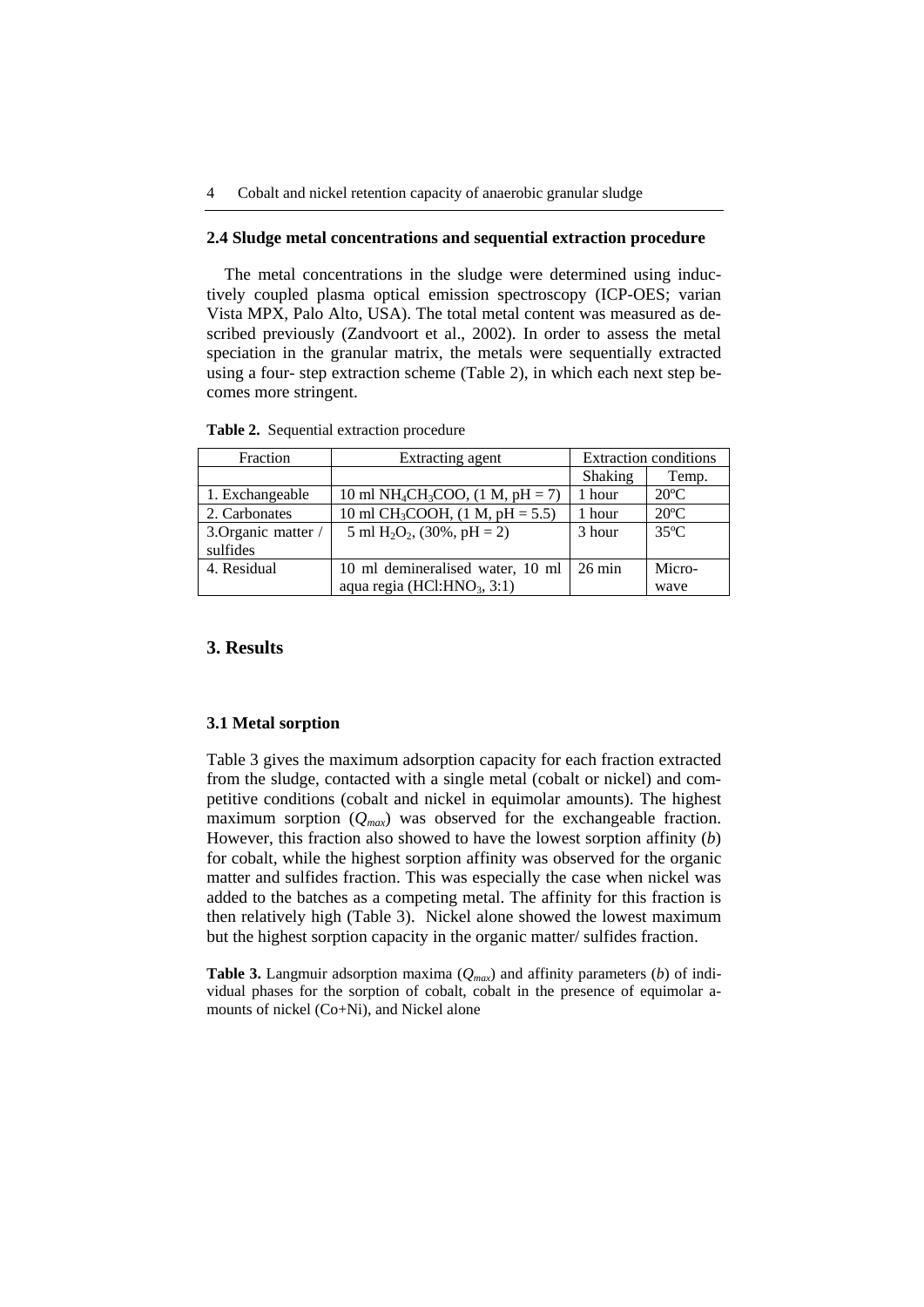#### **2.4 Sludge metal concentrations and sequential extraction procedure**

The metal concentrations in the sludge were determined using inductively coupled plasma optical emission spectroscopy (ICP-OES; varian Vista MPX, Palo Alto, USA). The total metal content was measured as described previously (Zandvoort et al., 2002). In order to assess the metal speciation in the granular matrix, the metals were sequentially extracted using a four- step extraction scheme (Table 2), in which each next step becomes more stringent.

| Fraction            | Extracting agent                                           | <b>Extraction conditions</b> |                |  |
|---------------------|------------------------------------------------------------|------------------------------|----------------|--|
|                     |                                                            | <b>Shaking</b>               | Temp.          |  |
| 1. Exchangeable     | 10 ml NH <sub>4</sub> CH <sub>3</sub> COO, $(1 M, pH = 7)$ | 1 hour                       | $20^{\circ}$ C |  |
| 2. Carbonates       | 10 ml CH <sub>3</sub> COOH, $(1 M, pH = 5.5)$              | 1 hour                       | $20^{\circ}$ C |  |
| 3. Organic matter / | 5 ml $H_2O_2$ , (30%, pH = 2)                              | 3 hour                       | $35^{\circ}$ C |  |
| sulfides            |                                                            |                              |                |  |
| 4. Residual         | 10 ml demineralised water, 10 ml                           | $26 \text{ min}$             | Micro-         |  |
|                     | aqua regia (HCl:HNO <sub>3</sub> , 3:1)                    |                              | wave           |  |

**Table 2.** Sequential extraction procedure

#### **3. Results**

#### **3.1 Metal sorption**

Table 3 gives the maximum adsorption capacity for each fraction extracted from the sludge, contacted with a single metal (cobalt or nickel) and competitive conditions (cobalt and nickel in equimolar amounts). The highest maximum sorption  $(Q_{max})$  was observed for the exchangeable fraction. However, this fraction also showed to have the lowest sorption affinity (*b*) for cobalt, while the highest sorption affinity was observed for the organic matter and sulfides fraction. This was especially the case when nickel was added to the batches as a competing metal. The affinity for this fraction is then relatively high (Table 3). Nickel alone showed the lowest maximum but the highest sorption capacity in the organic matter/ sulfides fraction.

**Table 3.** Langmuir adsorption maxima (*Qmax*) and affinity parameters (*b*) of individual phases for the sorption of cobalt, cobalt in the presence of equimolar amounts of nickel (Co+Ni), and Nickel alone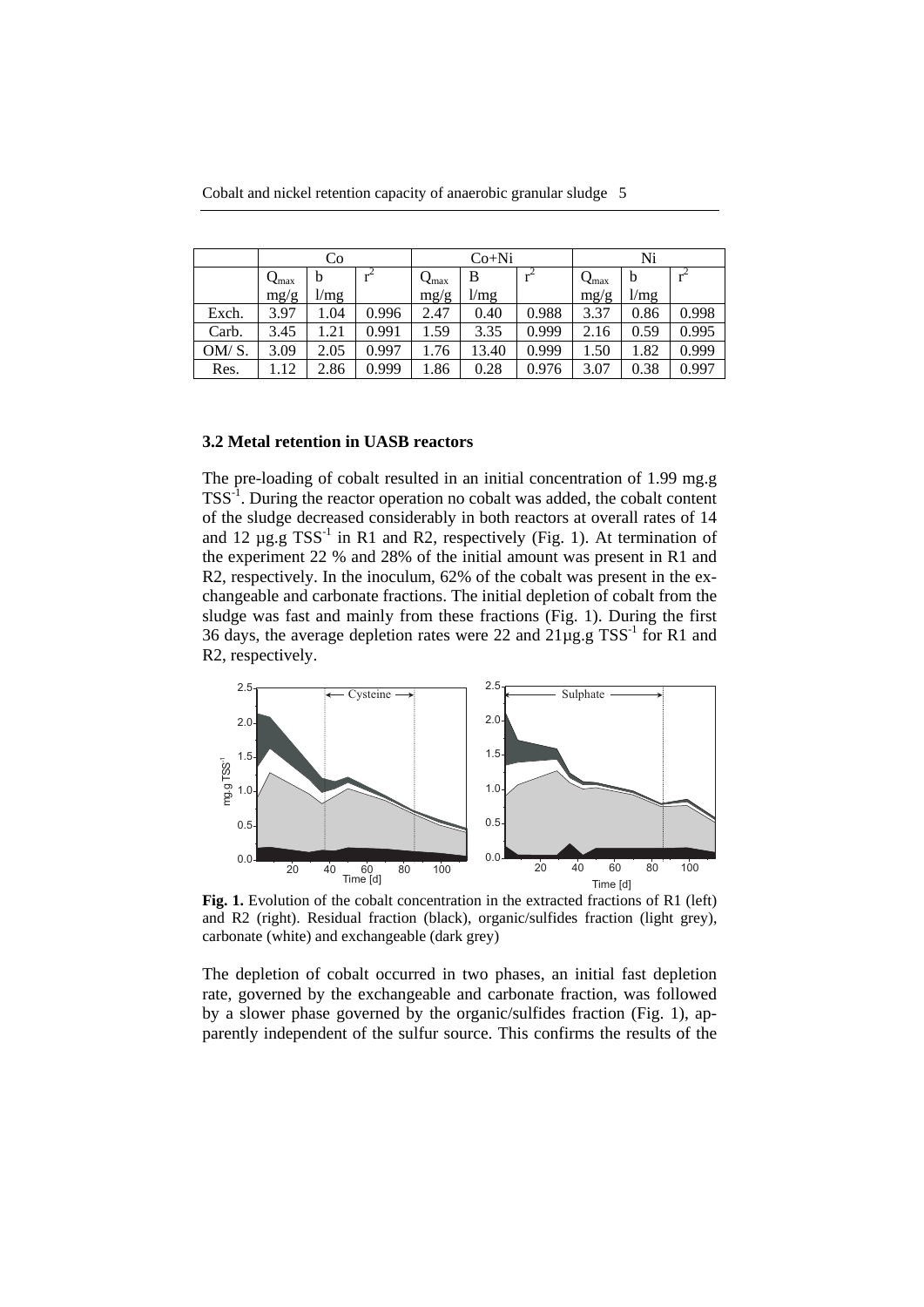Cobalt and nickel retention capacity of anaerobic granular sludge 5

|       | Co                  |      |       | $Co+Ni$                   |       |       | Ni                  |      |       |
|-------|---------------------|------|-------|---------------------------|-------|-------|---------------------|------|-------|
|       | $\mathbf{Q}_{\max}$ | b    | $r^2$ | $\mathsf{Q}_{\text{max}}$ | B     |       | $\mathbf{Q}_{\max}$ | b    |       |
|       | mg/g                | 1/mg |       | mg/g                      | 1/mg  |       | mg/g                | 1/mg |       |
| Exch. | 3.97                | .04  | 0.996 | 2.47                      | 0.40  | 0.988 | 3.37                | 0.86 | 0.998 |
| Carb. | 3.45                | .21  | 0.991 | 1.59                      | 3.35  | 0.999 | 2.16                | 0.59 | 0.995 |
| OM/S. | 3.09                | 2.05 | 0.997 | 1.76                      | 13.40 | 0.999 | 1.50                | 1.82 | 0.999 |
| Res.  | .12                 | 2.86 | 0.999 | 1.86                      | 0.28  | 0.976 | 3.07                | 0.38 | 0.997 |

#### **3.2 Metal retention in UASB reactors**

The pre-loading of cobalt resulted in an initial concentration of 1.99 mg.g TSS-1. During the reactor operation no cobalt was added, the cobalt content of the sludge decreased considerably in both reactors at overall rates of 14 and 12  $\mu$ g.g TSS<sup>-1</sup> in R1 and R2, respectively (Fig. 1). At termination of the experiment 22 % and 28% of the initial amount was present in R1 and R2, respectively. In the inoculum, 62% of the cobalt was present in the exchangeable and carbonate fractions. The initial depletion of cobalt from the sludge was fast and mainly from these fractions (Fig. 1). During the first 36 days, the average depletion rates were 22 and  $21\mu$ g.g TSS<sup>-1</sup> for R1 and R2, respectively.



**Fig. 1.** Evolution of the cobalt concentration in the extracted fractions of R1 (left) and R2 (right). Residual fraction (black), organic/sulfides fraction (light grey), carbonate (white) and exchangeable (dark grey)

The depletion of cobalt occurred in two phases, an initial fast depletion rate, governed by the exchangeable and carbonate fraction, was followed by a slower phase governed by the organic/sulfides fraction (Fig. 1), apparently independent of the sulfur source. This confirms the results of the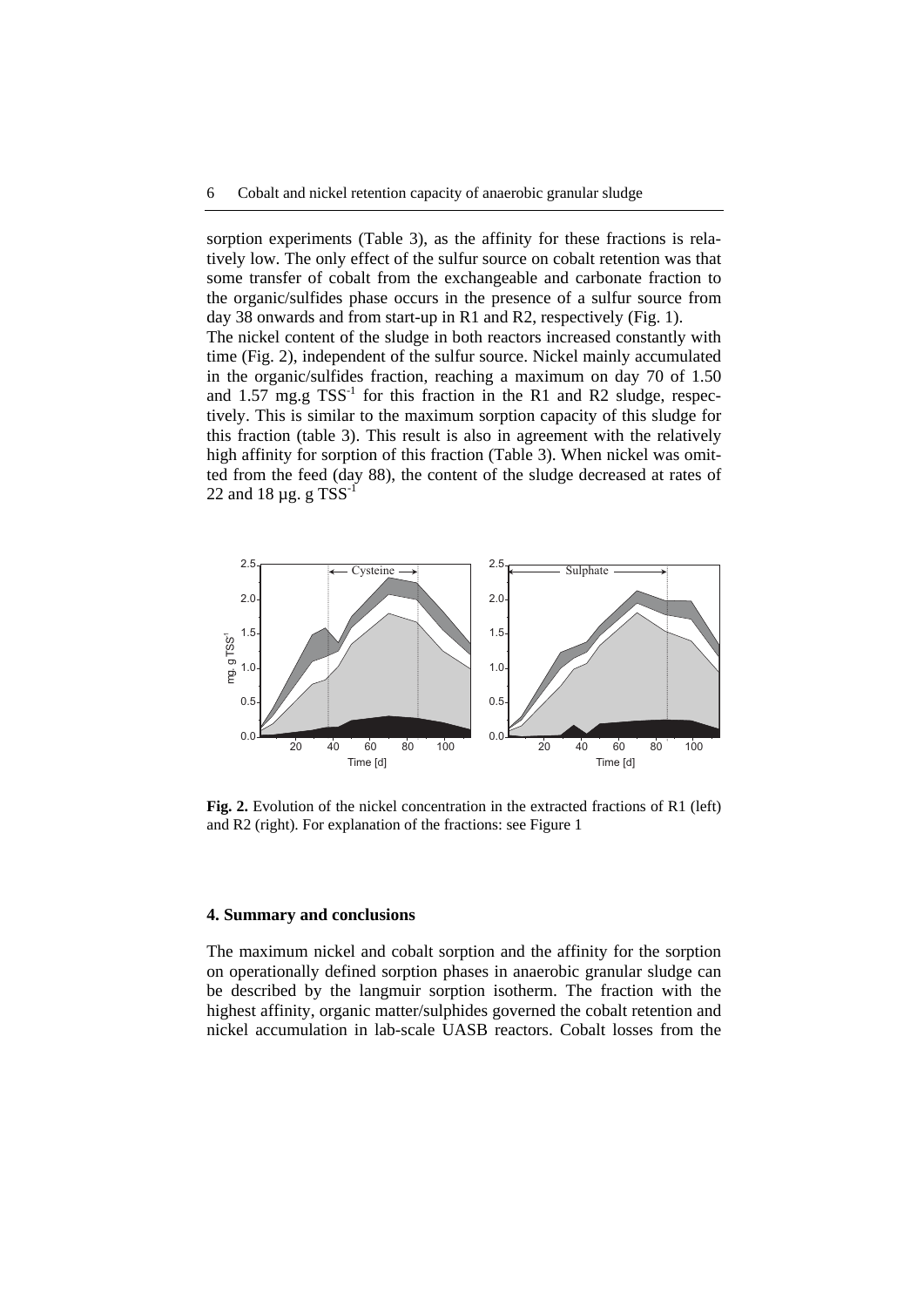sorption experiments (Table 3), as the affinity for these fractions is relatively low. The only effect of the sulfur source on cobalt retention was that some transfer of cobalt from the exchangeable and carbonate fraction to the organic/sulfides phase occurs in the presence of a sulfur source from day 38 onwards and from start-up in R1 and R2, respectively (Fig. 1).

The nickel content of the sludge in both reactors increased constantly with time (Fig. 2), independent of the sulfur source. Nickel mainly accumulated in the organic/sulfides fraction, reaching a maximum on day 70 of 1.50 and  $1.57$  mg.g TSS<sup>-1</sup> for this fraction in the R1 and R2 sludge, respectively. This is similar to the maximum sorption capacity of this sludge for this fraction (table 3). This result is also in agreement with the relatively high affinity for sorption of this fraction (Table 3). When nickel was omitted from the feed (day 88), the content of the sludge decreased at rates of 22 and 18  $\mu$ g. g TSS<sup>-1</sup>



**Fig. 2.** Evolution of the nickel concentration in the extracted fractions of R1 (left) and R2 (right). For explanation of the fractions: see Figure 1

#### **4. Summary and conclusions**

The maximum nickel and cobalt sorption and the affinity for the sorption on operationally defined sorption phases in anaerobic granular sludge can be described by the langmuir sorption isotherm. The fraction with the highest affinity, organic matter/sulphides governed the cobalt retention and nickel accumulation in lab-scale UASB reactors. Cobalt losses from the